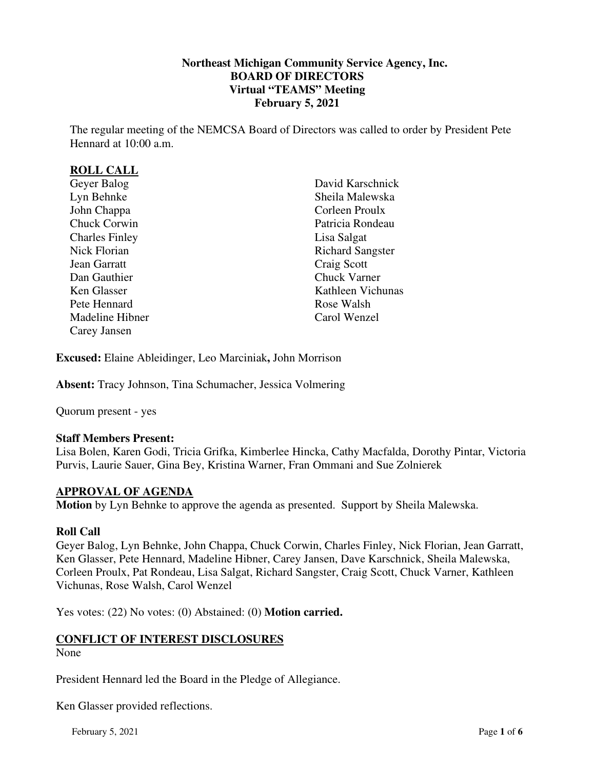## **Northeast Michigan Community Service Agency, Inc. BOARD OF DIRECTORS Virtual "TEAMS" Meeting February 5, 2021**

The regular meeting of the NEMCSA Board of Directors was called to order by President Pete Hennard at 10:00 a.m.

## **ROLL CALL**

| Geyer Balog           |
|-----------------------|
| Lyn Behnke            |
| John Chappa           |
| <b>Chuck Corwin</b>   |
| <b>Charles Finley</b> |
| <b>Nick Florian</b>   |
| <b>Jean Garratt</b>   |
| Dan Gauthier          |
| Ken Glasser           |
| Pete Hennard          |
| Madeline Hibner       |
| Carey Jansen          |
|                       |

David Karschnick Sheila Malewska Corleen Proulx Patricia Rondeau Lisa Salgat Richard Sangster Craig Scott Chuck Varner Kathleen Vichunas Rose Walsh Carol Wenzel

**Excused:** Elaine Ableidinger, Leo Marciniak**,** John Morrison

**Absent:** Tracy Johnson, Tina Schumacher, Jessica Volmering

Quorum present - yes

### **Staff Members Present:**

Lisa Bolen, Karen Godi, Tricia Grifka, Kimberlee Hincka, Cathy Macfalda, Dorothy Pintar, Victoria Purvis, Laurie Sauer, Gina Bey, Kristina Warner, Fran Ommani and Sue Zolnierek

### **APPROVAL OF AGENDA**

**Motion** by Lyn Behnke to approve the agenda as presented. Support by Sheila Malewska.

#### **Roll Call**

Geyer Balog, Lyn Behnke, John Chappa, Chuck Corwin, Charles Finley, Nick Florian, Jean Garratt, Ken Glasser, Pete Hennard, Madeline Hibner, Carey Jansen, Dave Karschnick, Sheila Malewska, Corleen Proulx, Pat Rondeau, Lisa Salgat, Richard Sangster, Craig Scott, Chuck Varner, Kathleen Vichunas, Rose Walsh, Carol Wenzel

Yes votes: (22) No votes: (0) Abstained: (0) **Motion carried.**

### **CONFLICT OF INTEREST DISCLOSURES**

None

President Hennard led the Board in the Pledge of Allegiance.

Ken Glasser provided reflections.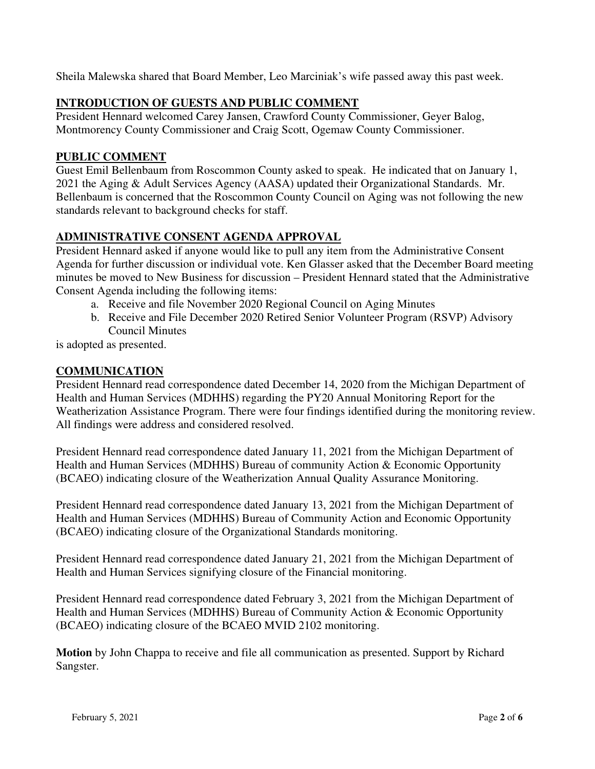Sheila Malewska shared that Board Member, Leo Marciniak's wife passed away this past week.

# **INTRODUCTION OF GUESTS AND PUBLIC COMMENT**

President Hennard welcomed Carey Jansen, Crawford County Commissioner, Geyer Balog, Montmorency County Commissioner and Craig Scott, Ogemaw County Commissioner.

## **PUBLIC COMMENT**

Guest Emil Bellenbaum from Roscommon County asked to speak. He indicated that on January 1, 2021 the Aging & Adult Services Agency (AASA) updated their Organizational Standards. Mr. Bellenbaum is concerned that the Roscommon County Council on Aging was not following the new standards relevant to background checks for staff.

# **ADMINISTRATIVE CONSENT AGENDA APPROVAL**

President Hennard asked if anyone would like to pull any item from the Administrative Consent Agenda for further discussion or individual vote. Ken Glasser asked that the December Board meeting minutes be moved to New Business for discussion – President Hennard stated that the Administrative Consent Agenda including the following items:

- a. Receive and file November 2020 Regional Council on Aging Minutes
- b. Receive and File December 2020 Retired Senior Volunteer Program (RSVP) Advisory Council Minutes
- is adopted as presented.

## **COMMUNICATION**

President Hennard read correspondence dated December 14, 2020 from the Michigan Department of Health and Human Services (MDHHS) regarding the PY20 Annual Monitoring Report for the Weatherization Assistance Program. There were four findings identified during the monitoring review. All findings were address and considered resolved.

President Hennard read correspondence dated January 11, 2021 from the Michigan Department of Health and Human Services (MDHHS) Bureau of community Action & Economic Opportunity (BCAEO) indicating closure of the Weatherization Annual Quality Assurance Monitoring.

President Hennard read correspondence dated January 13, 2021 from the Michigan Department of Health and Human Services (MDHHS) Bureau of Community Action and Economic Opportunity (BCAEO) indicating closure of the Organizational Standards monitoring.

President Hennard read correspondence dated January 21, 2021 from the Michigan Department of Health and Human Services signifying closure of the Financial monitoring.

President Hennard read correspondence dated February 3, 2021 from the Michigan Department of Health and Human Services (MDHHS) Bureau of Community Action & Economic Opportunity (BCAEO) indicating closure of the BCAEO MVID 2102 monitoring.

**Motion** by John Chappa to receive and file all communication as presented. Support by Richard Sangster.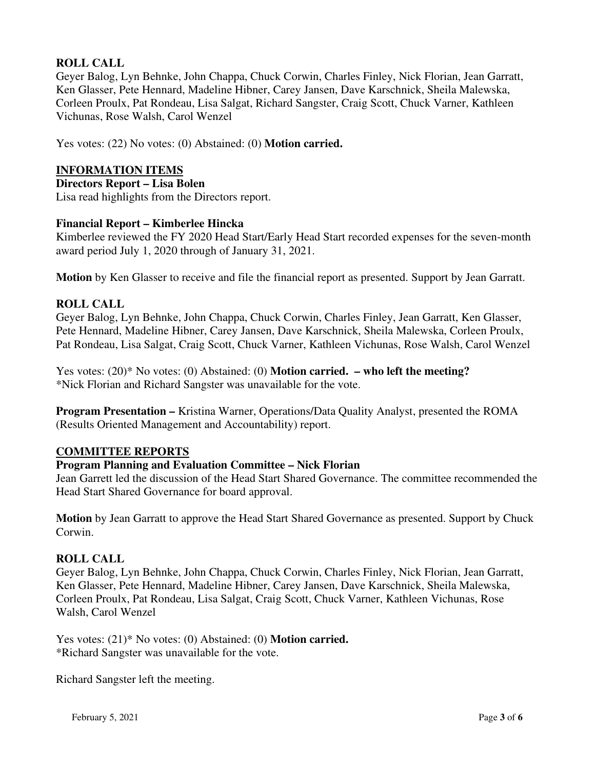# **ROLL CALL**

Geyer Balog, Lyn Behnke, John Chappa, Chuck Corwin, Charles Finley, Nick Florian, Jean Garratt, Ken Glasser, Pete Hennard, Madeline Hibner, Carey Jansen, Dave Karschnick, Sheila Malewska, Corleen Proulx, Pat Rondeau, Lisa Salgat, Richard Sangster, Craig Scott, Chuck Varner, Kathleen Vichunas, Rose Walsh, Carol Wenzel

Yes votes: (22) No votes: (0) Abstained: (0) **Motion carried.**

## **INFORMATION ITEMS**

### **Directors Report – Lisa Bolen**

Lisa read highlights from the Directors report.

## **Financial Report – Kimberlee Hincka**

Kimberlee reviewed the FY 2020 Head Start/Early Head Start recorded expenses for the seven-month award period July 1, 2020 through of January 31, 2021.

**Motion** by Ken Glasser to receive and file the financial report as presented. Support by Jean Garratt.

## **ROLL CALL**

Geyer Balog, Lyn Behnke, John Chappa, Chuck Corwin, Charles Finley, Jean Garratt, Ken Glasser, Pete Hennard, Madeline Hibner, Carey Jansen, Dave Karschnick, Sheila Malewska, Corleen Proulx, Pat Rondeau, Lisa Salgat, Craig Scott, Chuck Varner, Kathleen Vichunas, Rose Walsh, Carol Wenzel

Yes votes: (20)\* No votes: (0) Abstained: (0) **Motion carried. – who left the meeting?** \*Nick Florian and Richard Sangster was unavailable for the vote.

**Program Presentation –** Kristina Warner, Operations/Data Quality Analyst, presented the ROMA (Results Oriented Management and Accountability) report.

# **COMMITTEE REPORTS**

# **Program Planning and Evaluation Committee – Nick Florian**

Jean Garrett led the discussion of the Head Start Shared Governance. The committee recommended the Head Start Shared Governance for board approval.

**Motion** by Jean Garratt to approve the Head Start Shared Governance as presented. Support by Chuck Corwin.

### **ROLL CALL**

Geyer Balog, Lyn Behnke, John Chappa, Chuck Corwin, Charles Finley, Nick Florian, Jean Garratt, Ken Glasser, Pete Hennard, Madeline Hibner, Carey Jansen, Dave Karschnick, Sheila Malewska, Corleen Proulx, Pat Rondeau, Lisa Salgat, Craig Scott, Chuck Varner, Kathleen Vichunas, Rose Walsh, Carol Wenzel

Yes votes: (21)\* No votes: (0) Abstained: (0) **Motion carried.** \*Richard Sangster was unavailable for the vote.

Richard Sangster left the meeting.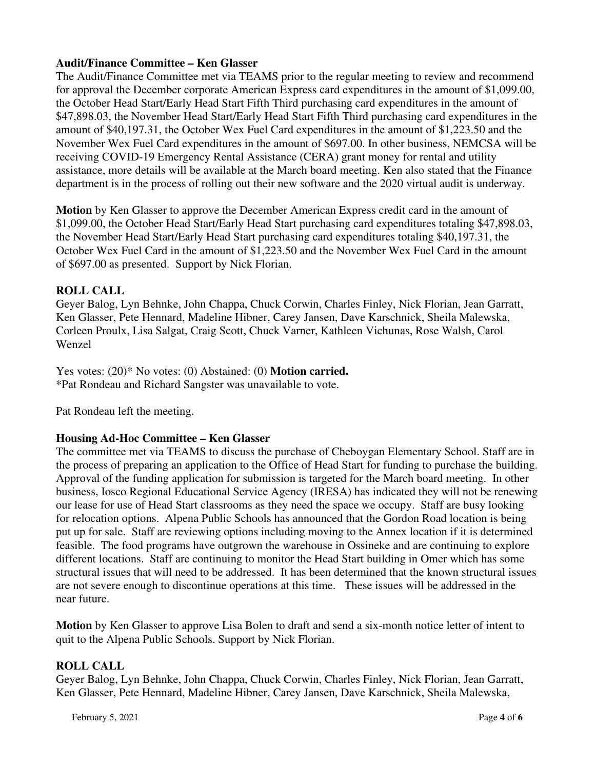## **Audit/Finance Committee – Ken Glasser**

The Audit/Finance Committee met via TEAMS prior to the regular meeting to review and recommend for approval the December corporate American Express card expenditures in the amount of \$1,099.00, the October Head Start/Early Head Start Fifth Third purchasing card expenditures in the amount of \$47,898.03, the November Head Start/Early Head Start Fifth Third purchasing card expenditures in the amount of \$40,197.31, the October Wex Fuel Card expenditures in the amount of \$1,223.50 and the November Wex Fuel Card expenditures in the amount of \$697.00. In other business, NEMCSA will be receiving COVID-19 Emergency Rental Assistance (CERA) grant money for rental and utility assistance, more details will be available at the March board meeting. Ken also stated that the Finance department is in the process of rolling out their new software and the 2020 virtual audit is underway.

**Motion** by Ken Glasser to approve the December American Express credit card in the amount of \$1,099.00, the October Head Start/Early Head Start purchasing card expenditures totaling \$47,898.03, the November Head Start/Early Head Start purchasing card expenditures totaling \$40,197.31, the October Wex Fuel Card in the amount of \$1,223.50 and the November Wex Fuel Card in the amount of \$697.00 as presented. Support by Nick Florian.

# **ROLL CALL**

Geyer Balog, Lyn Behnke, John Chappa, Chuck Corwin, Charles Finley, Nick Florian, Jean Garratt, Ken Glasser, Pete Hennard, Madeline Hibner, Carey Jansen, Dave Karschnick, Sheila Malewska, Corleen Proulx, Lisa Salgat, Craig Scott, Chuck Varner, Kathleen Vichunas, Rose Walsh, Carol Wenzel

Yes votes: (20)\* No votes: (0) Abstained: (0) **Motion carried.** \*Pat Rondeau and Richard Sangster was unavailable to vote.

Pat Rondeau left the meeting.

# **Housing Ad-Hoc Committee – Ken Glasser**

The committee met via TEAMS to discuss the purchase of Cheboygan Elementary School. Staff are in the process of preparing an application to the Office of Head Start for funding to purchase the building. Approval of the funding application for submission is targeted for the March board meeting. In other business, Iosco Regional Educational Service Agency (IRESA) has indicated they will not be renewing our lease for use of Head Start classrooms as they need the space we occupy. Staff are busy looking for relocation options. Alpena Public Schools has announced that the Gordon Road location is being put up for sale. Staff are reviewing options including moving to the Annex location if it is determined feasible. The food programs have outgrown the warehouse in Ossineke and are continuing to explore different locations. Staff are continuing to monitor the Head Start building in Omer which has some structural issues that will need to be addressed. It has been determined that the known structural issues are not severe enough to discontinue operations at this time. These issues will be addressed in the near future.

**Motion** by Ken Glasser to approve Lisa Bolen to draft and send a six-month notice letter of intent to quit to the Alpena Public Schools. Support by Nick Florian.

### **ROLL CALL**

Geyer Balog, Lyn Behnke, John Chappa, Chuck Corwin, Charles Finley, Nick Florian, Jean Garratt, Ken Glasser, Pete Hennard, Madeline Hibner, Carey Jansen, Dave Karschnick, Sheila Malewska,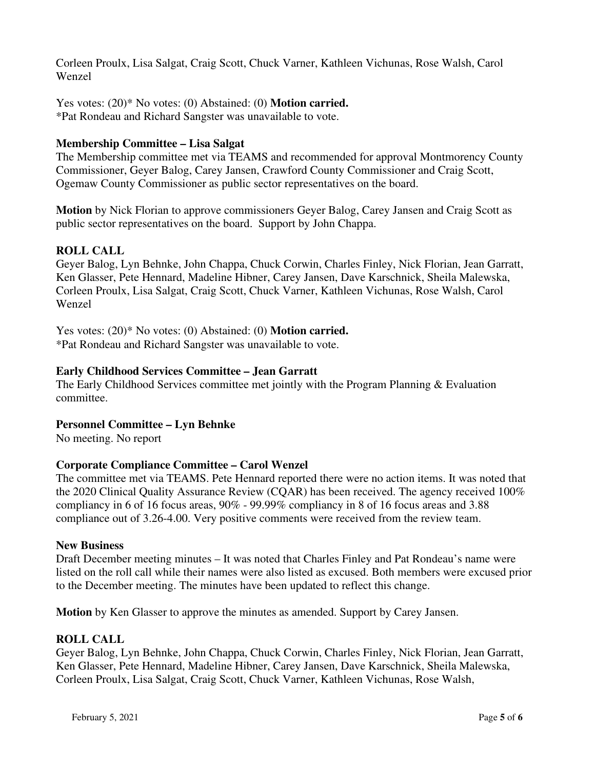Corleen Proulx, Lisa Salgat, Craig Scott, Chuck Varner, Kathleen Vichunas, Rose Walsh, Carol Wenzel

Yes votes: (20)\* No votes: (0) Abstained: (0) **Motion carried.** \*Pat Rondeau and Richard Sangster was unavailable to vote.

### **Membership Committee – Lisa Salgat**

The Membership committee met via TEAMS and recommended for approval Montmorency County Commissioner, Geyer Balog, Carey Jansen, Crawford County Commissioner and Craig Scott, Ogemaw County Commissioner as public sector representatives on the board.

**Motion** by Nick Florian to approve commissioners Geyer Balog, Carey Jansen and Craig Scott as public sector representatives on the board. Support by John Chappa.

## **ROLL CALL**

Geyer Balog, Lyn Behnke, John Chappa, Chuck Corwin, Charles Finley, Nick Florian, Jean Garratt, Ken Glasser, Pete Hennard, Madeline Hibner, Carey Jansen, Dave Karschnick, Sheila Malewska, Corleen Proulx, Lisa Salgat, Craig Scott, Chuck Varner, Kathleen Vichunas, Rose Walsh, Carol Wenzel

Yes votes: (20)\* No votes: (0) Abstained: (0) **Motion carried.** \*Pat Rondeau and Richard Sangster was unavailable to vote.

### **Early Childhood Services Committee – Jean Garratt**

The Early Childhood Services committee met jointly with the Program Planning & Evaluation committee.

### **Personnel Committee – Lyn Behnke**

No meeting. No report

### **Corporate Compliance Committee – Carol Wenzel**

The committee met via TEAMS. Pete Hennard reported there were no action items. It was noted that the 2020 Clinical Quality Assurance Review (CQAR) has been received. The agency received 100% compliancy in 6 of 16 focus areas, 90% - 99.99% compliancy in 8 of 16 focus areas and 3.88 compliance out of 3.26-4.00. Very positive comments were received from the review team.

#### **New Business**

Draft December meeting minutes – It was noted that Charles Finley and Pat Rondeau's name were listed on the roll call while their names were also listed as excused. Both members were excused prior to the December meeting. The minutes have been updated to reflect this change.

**Motion** by Ken Glasser to approve the minutes as amended. Support by Carey Jansen.

### **ROLL CALL**

Geyer Balog, Lyn Behnke, John Chappa, Chuck Corwin, Charles Finley, Nick Florian, Jean Garratt, Ken Glasser, Pete Hennard, Madeline Hibner, Carey Jansen, Dave Karschnick, Sheila Malewska, Corleen Proulx, Lisa Salgat, Craig Scott, Chuck Varner, Kathleen Vichunas, Rose Walsh,